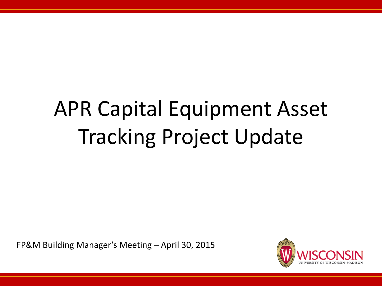# APR Capital Equipment Asset Tracking Project Update

FP&M Building Manager's Meeting – April 30, 2015

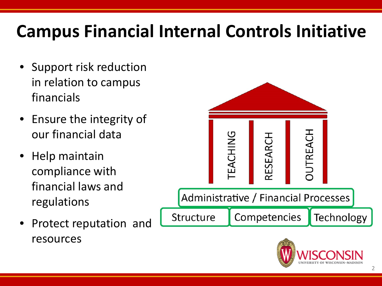## **Campus Financial Internal Controls Initiative**

- Support risk reduction in relation to campus financials
- Ensure the integrity of our financial data
- Help maintain compliance with financial laws and regulations
- Protect reputation and resources



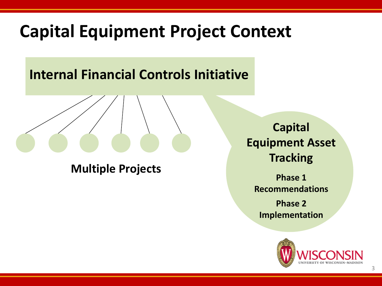### **Capital Equipment Project Context**

#### **Internal Financial Controls Initiative**

**Multiple Projects**

**Capital Equipment Asset Tracking**

**Phase 1 Recommendations**

**Phase 2 Implementation** 

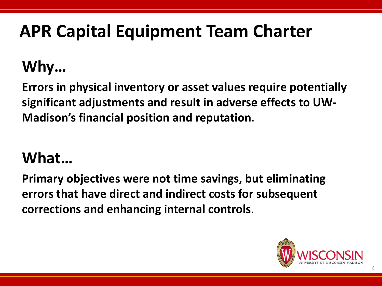## **APR Capital Equipment Team Charter**

### **Why…**

**Errors in physical inventory or asset values require potentially significant adjustments and result in adverse effects to UW-Madison's financial position and reputation**.

#### **What…**

**Primary objectives were not time savings, but eliminating errors that have direct and indirect costs for subsequent corrections and enhancing internal controls**.

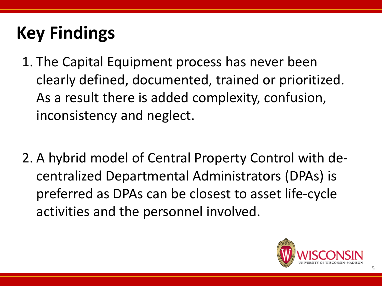## **Key Findings**

- 1. The Capital Equipment process has never been clearly defined, documented, trained or prioritized. As a result there is added complexity, confusion, inconsistency and neglect.
- 2. A hybrid model of Central Property Control with decentralized Departmental Administrators (DPAs) is preferred as DPAs can be closest to asset life-cycle activities and the personnel involved.

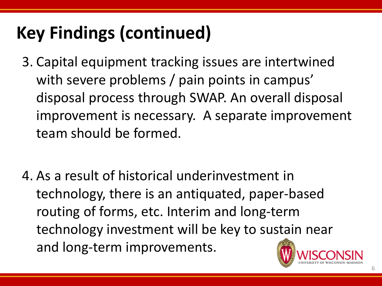## **Key Findings (continued)**

- 3. Capital equipment tracking issues are intertwined with severe problems / pain points in campus' disposal process through SWAP. An overall disposal improvement is necessary. A separate improvement team should be formed.
- 4. As a result of historical underinvestment in technology, there is an antiquated, paper-based routing of forms, etc. Interim and long-term technology investment will be key to sustain near and long-term improvements.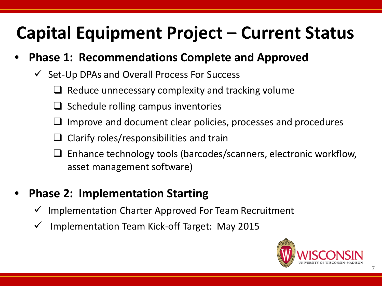## **Capital Equipment Project – Current Status**

#### • **Phase 1: Recommendations Complete and Approved**

- $\checkmark$  Set-Up DPAs and Overall Process For Success
	- $\Box$  Reduce unnecessary complexity and tracking volume
	- $\Box$  Schedule rolling campus inventories
	- Improve and document clear policies, processes and procedures
	- Clarify roles/responsibilities and train
	- $\Box$  Enhance technology tools (barcodes/scanners, electronic workflow, asset management software)

#### • **Phase 2: Implementation Starting**

- Implementation Charter Approved For Team Recruitment
- Implementation Team Kick-off Target: May 2015